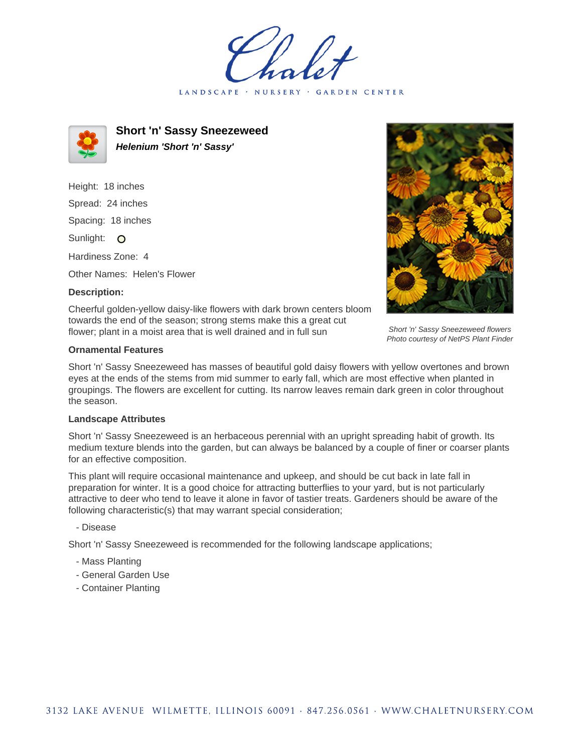LANDSCAPE · NURSERY **GARDEN CENTER** 



**Short 'n' Sassy Sneezeweed Helenium 'Short 'n' Sassy'**

Height: 18 inches Spread: 24 inches Spacing: 18 inches Sunlight: O Hardiness Zone: 4

Other Names: Helen's Flower

# **Description:**



Short 'n' Sassy Sneezeweed flowers Photo courtesy of NetPS Plant Finder

Cheerful golden-yellow daisy-like flowers with dark brown centers bloom towards the end of the season; strong stems make this a great cut flower; plant in a moist area that is well drained and in full sun

# **Ornamental Features**

Short 'n' Sassy Sneezeweed has masses of beautiful gold daisy flowers with yellow overtones and brown eyes at the ends of the stems from mid summer to early fall, which are most effective when planted in groupings. The flowers are excellent for cutting. Its narrow leaves remain dark green in color throughout the season.

#### **Landscape Attributes**

Short 'n' Sassy Sneezeweed is an herbaceous perennial with an upright spreading habit of growth. Its medium texture blends into the garden, but can always be balanced by a couple of finer or coarser plants for an effective composition.

This plant will require occasional maintenance and upkeep, and should be cut back in late fall in preparation for winter. It is a good choice for attracting butterflies to your yard, but is not particularly attractive to deer who tend to leave it alone in favor of tastier treats. Gardeners should be aware of the following characteristic(s) that may warrant special consideration;

# - Disease

Short 'n' Sassy Sneezeweed is recommended for the following landscape applications;

- Mass Planting
- General Garden Use
- Container Planting